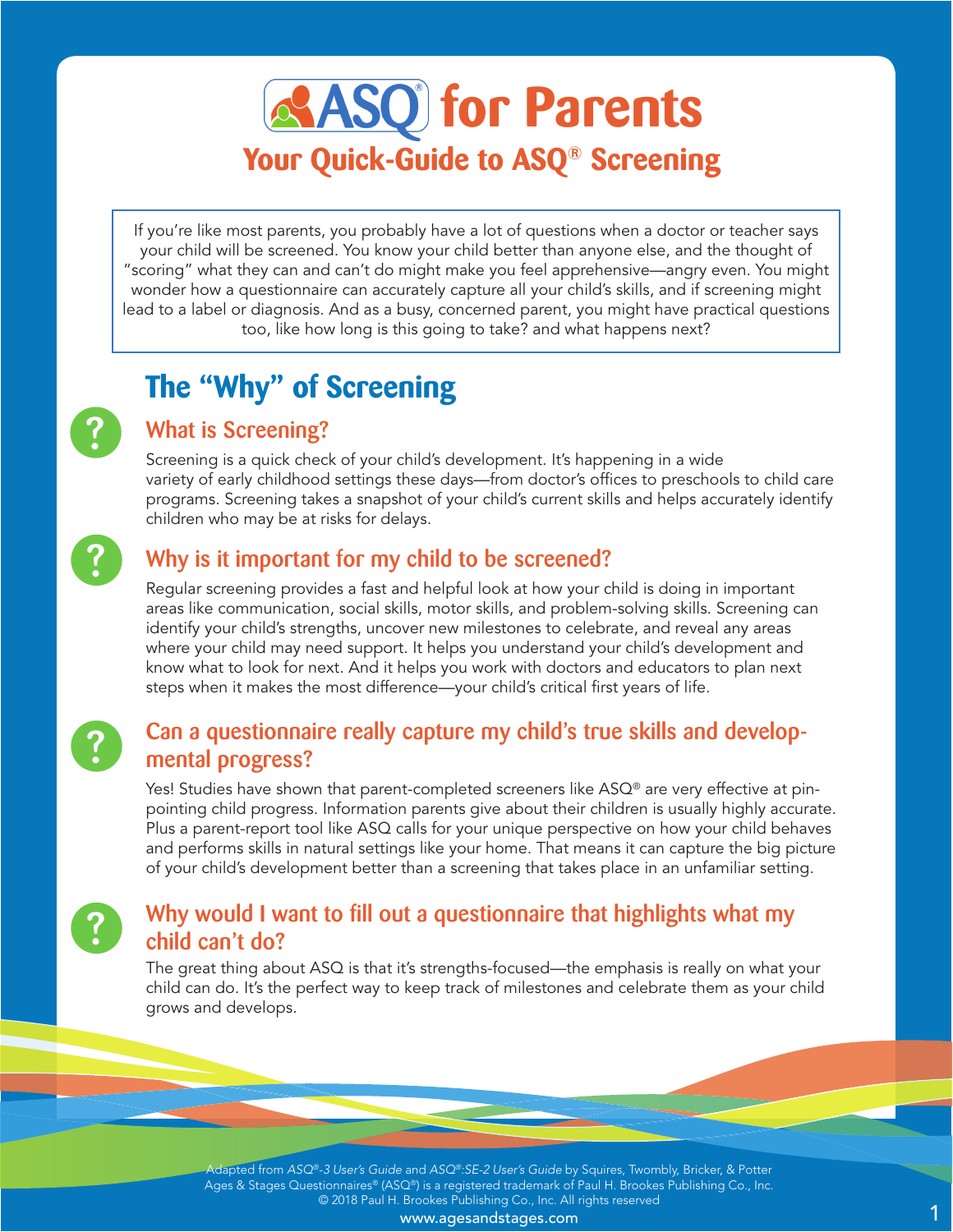# *<u><b>e***ASO**</u> for Parents **Your Quick-Guide to ASQ® Screening**

If you're like most parents, you probably have a lot of questions when a doctor or teacher says your child will be screened. You know your child better than anyone else, and the thought of "scoring" what they can and can't do might make you feel apprehensive—angry even. You might wonder how a questionnaire can accurately capture all your child's skills, and if screening might lead to a label or diagnosis. And as a busy, concerned parent, you might have practical questions too, like how long is this going to take? and what happens next?

## **The "Why" of Screening**

## What is Screening?

Screening is a quick check of your child's development. It's happening in a wide variety of early childhood settings these days—from doctor's offices to preschools to child care programs. Screening takes a snapshot of your child's current skills and helps accurately identify children who may be at risks for delays.

## ?

?

?

?

#### Why is it important for my child to be screened?

Regular screening provides a fast and helpful look at how your child is doing in important areas like communication, social skills, motor skills, and problem-solving skills. Screening can identify your child's strengths, uncover new milestones to celebrate, and reveal any areas where your child may need support. It helps you understand your child's development and know what to look for next. And it helps you work with doctors and educators to plan next steps when it makes the most difference—your child's critical first years of life.

## Can a questionnaire really capture my child's true skills and developmental progress?

Yes! Studies have shown that parent-completed screeners like  $ASQ^{\circ}$  are very effective at pinpointing child progress. Information parents give about their children is usually highly accurate. Plus a parent-report tool like ASQ calls for your unique perspective on how your child behaves and performs skills in natural settings like your home. That means it can capture the big picture of your child's development better than a screening that takes place in an unfamiliar setting.

#### Why would I want to fill out a questionnaire that highlights what my child can't do?

The great thing about ASQ is that it's strengths-focused—the emphasis is really on what your child can do. It's the perfect way to keep track of milestones and celebrate them as your child grows and develops.

Adapted from *ASQ®-3 User's Guide* and *ASQ®:SE-2 User's Guide* by Squires, Twombly, Bricker, & Potter Ages & Stages Questionnaires® (ASQ®) is a registered trademark of Paul H. Brookes Publishing Co., Inc. © 2018 Paul H. Brookes Publishing Co., Inc. All rights reserved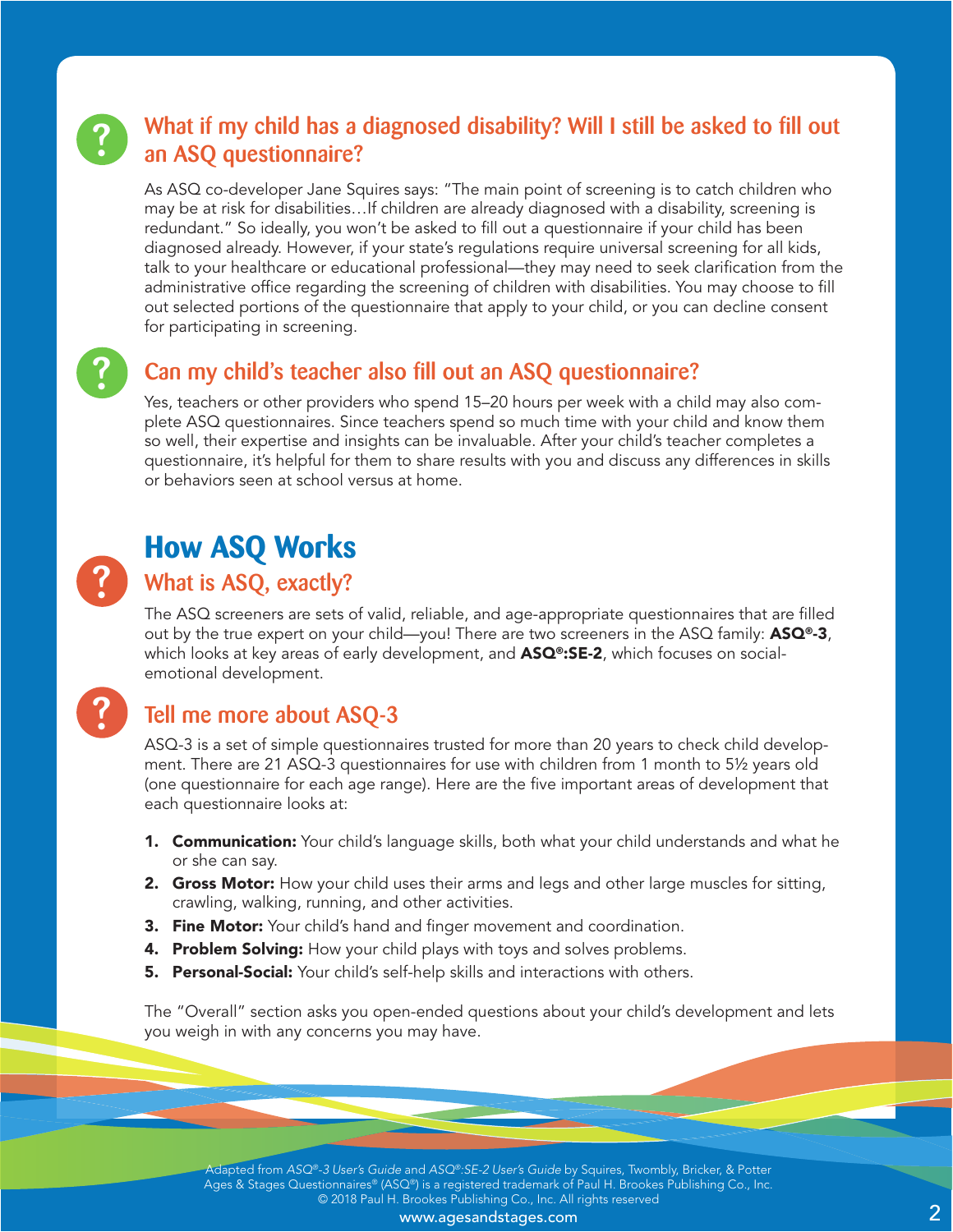# ?

## What if my child has a diagnosed disability? Will I still be asked to fill out an ASQ questionnaire?

As ASQ co-developer Jane Squires says: "The main point of screening is to catch children who may be at risk for disabilities…If children are already diagnosed with a disability, screening is redundant." So ideally, you won't be asked to fill out a questionnaire if your child has been diagnosed already. However, if your state's regulations require universal screening for all kids, talk to your healthcare or educational professional—they may need to seek clarification from the administrative office regarding the screening of children with disabilities. You may choose to fill out selected portions of the questionnaire that apply to your child, or you can decline consent for participating in screening.

?

## Can my child's teacher also fill out an ASQ questionnaire?

Yes, teachers or other providers who spend 15–20 hours per week with a child may also complete ASQ questionnaires. Since teachers spend so much time with your child and know them so well, their expertise and insights can be invaluable. After your child's teacher completes a questionnaire, it's helpful for them to share results with you and discuss any differences in skills or behaviors seen at school versus at home.

# ?

?

## **How ASQ Works**

#### What is ASQ, exactly?

The ASQ screeners are sets of valid, reliable, and age-appropriate questionnaires that are filled out by the true expert on your child—you! There are two screeners in the ASQ family:  $ASQ^0=3$ , which looks at key areas of early development, and  $\text{ASQ}^{\circ}$ : SE-2, which focuses on socialemotional development.

## Tell me more about ASQ-3

ASQ-3 is a set of simple questionnaires trusted for more than 20 years to check child development. There are 21 ASQ-3 questionnaires for use with children from 1 month to 5½ years old (one questionnaire for each age range). Here are the five important areas of development that each questionnaire looks at:

- **1. Communication:** Your child's language skills, both what your child understands and what he or she can say.
- 2. Gross Motor: How your child uses their arms and legs and other large muscles for sitting, crawling, walking, running, and other activities.
- **3. Fine Motor:** Your child's hand and finger movement and coordination.
- 4. Problem Solving: How your child plays with toys and solves problems.
- **5. Personal-Social:** Your child's self-help skills and interactions with others.

The "Overall" section asks you open-ended questions about your child's development and lets you weigh in with any concerns you may have.

Adapted from *ASQ®-3 User's Guide* and *ASQ®:SE-2 User's Guide* by Squires, Twombly, Bricker, & Potter Ages & Stages Questionnaires® (ASQ®) is a registered trademark of Paul H. Brookes Publishing Co., Inc. © 2018 Paul H. Brookes Publishing Co., Inc. All rights reserved

www.agesandstages.com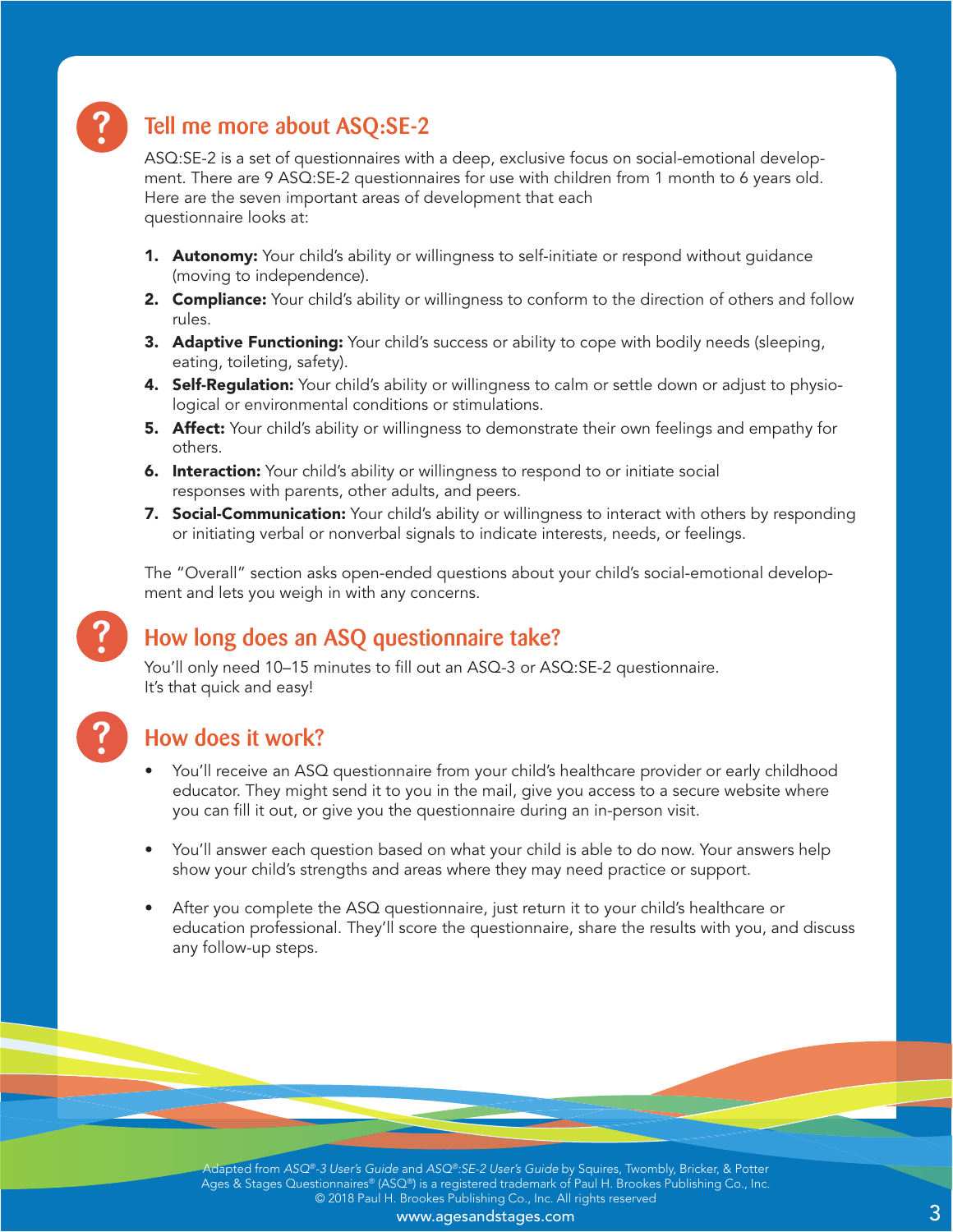

## Tell me more about ASQ:SE-2

ASQ:SE-2 is a set of questionnaires with a deep, exclusive focus on social-emotional development. There are 9 ASQ:SE-2 questionnaires for use with children from 1 month to 6 years old. Here are the seven important areas of development that each questionnaire looks at:

- 1. Autonomy: Your child's ability or willingness to self-initiate or respond without guidance (moving to independence).
- 2. Compliance: Your child's ability or willingness to conform to the direction of others and follow rules.
- **3. Adaptive Functioning:** Your child's success or ability to cope with bodily needs (sleeping, eating, toileting, safety).
- 4. Self-Regulation: Your child's ability or willingness to calm or settle down or adjust to physiological or environmental conditions or stimulations.
- **5. Affect:** Your child's ability or willingness to demonstrate their own feelings and empathy for others.
- **6. Interaction:** Your child's ability or willingness to respond to or initiate social responses with parents, other adults, and peers.
- 7. Social-Communication: Your child's ability or willingness to interact with others by responding or initiating verbal or nonverbal signals to indicate interests, needs, or feelings.

The "Overall" section asks open-ended questions about your child's social-emotional development and lets you weigh in with any concerns.

## How long does an ASQ questionnaire take?

You'll only need 10–15 minutes to fill out an ASQ-3 or ASQ:SE-2 questionnaire. It's that quick and easy!



?

#### How does it work?

- You'll receive an ASQ questionnaire from your child's healthcare provider or early childhood educator. They might send it to you in the mail, give you access to a secure website where you can fill it out, or give you the questionnaire during an in-person visit.
- You'll answer each question based on what your child is able to do now. Your answers help show your child's strengths and areas where they may need practice or support.
- After you complete the ASQ questionnaire, just return it to your child's healthcare or education professional. They'll score the questionnaire, share the results with you, and discuss any follow-up steps.

Adapted from *ASQ®-3 User's Guide* and *ASQ®:SE-2 User's Guide* by Squires, Twombly, Bricker, & Potter Ages & Stages Questionnaires® (ASQ®) is a registered trademark of Paul H. Brookes Publishing Co., Inc. © 2018 Paul H. Brookes Publishing Co., Inc. All rights reserved

www.agesandstages.com